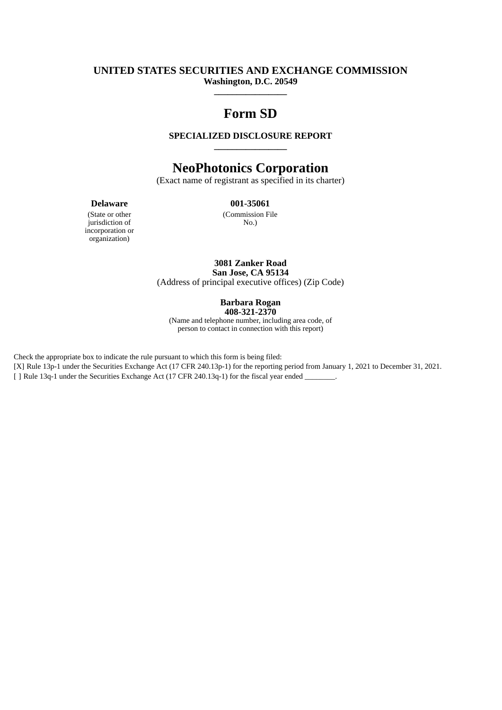# **UNITED STATES SECURITIES AND EXCHANGE COMMISSION Washington, D.C. 20549**

# **Form SD**

**\_\_\_\_\_\_\_\_\_\_\_\_\_\_\_\_**

# **SPECIALIZED DISCLOSURE REPORT \_\_\_\_\_\_\_\_\_\_\_\_\_\_\_\_**

# **NeoPhotonics Corporation**

(Exact name of registrant as specified in its charter)

## **Delaware 001-35061**

(State or other jurisdiction of incorporation or organization)

(Commission File No.)

**3081 Zanker Road San Jose, CA 95134** (Address of principal executive offices) (Zip Code)

> **Barbara Rogan 408-321-2370**

(Name and telephone number, including area code, of person to contact in connection with this report)

Check the appropriate box to indicate the rule pursuant to which this form is being filed:

[X] Rule 13p-1 under the Securities Exchange Act (17 CFR 240.13p-1) for the reporting period from January 1, 2021 to December 31, 2021.

[ ] Rule 13q-1 under the Securities Exchange Act (17 CFR 240.13q-1) for the fiscal year ended \_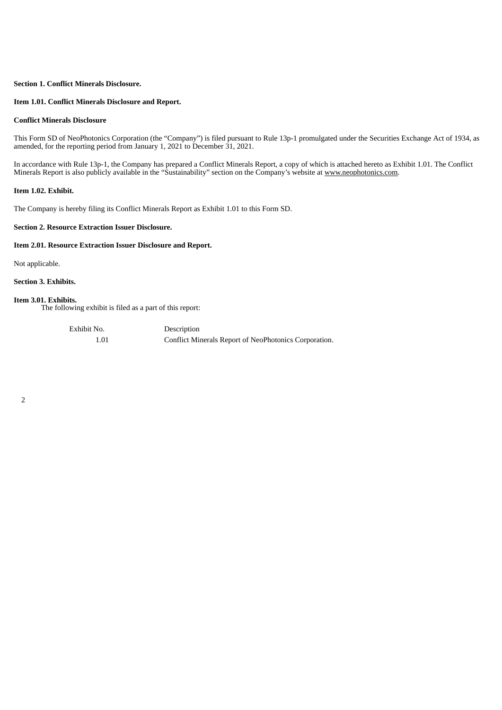## **Section 1. Conflict Minerals Disclosure.**

## **Item 1.01. Conflict Minerals Disclosure and Report.**

## **Conflict Minerals Disclosure**

This Form SD of NeoPhotonics Corporation (the "Company") is filed pursuant to Rule 13p-1 promulgated under the Securities Exchange Act of 1934, as amended, for the reporting period from January 1, 2021 to December 31, 2021.

In accordance with Rule 13p-1, the Company has prepared a Conflict Minerals Report, a copy of which is attached hereto as Exhibit 1.01. The Conflict Minerals Report is also publicly available in the "Sustainability" section on the Company's website at www.neophotonics.com.

## **Item 1.02. Exhibit.**

The Company is hereby filing its Conflict Minerals Report as Exhibit 1.01 to this Form SD.

## **Section 2. Resource Extraction Issuer Disclosure.**

## **Item 2.01. Resource Extraction Issuer Disclosure and Report.**

Not applicable.

**Section 3. Exhibits.**

## **Item 3.01. Exhibits.**

The following exhibit is filed as a part of this report:

Exhibit No. Description

1.01 Conflict Minerals Report of NeoPhotonics Corporation.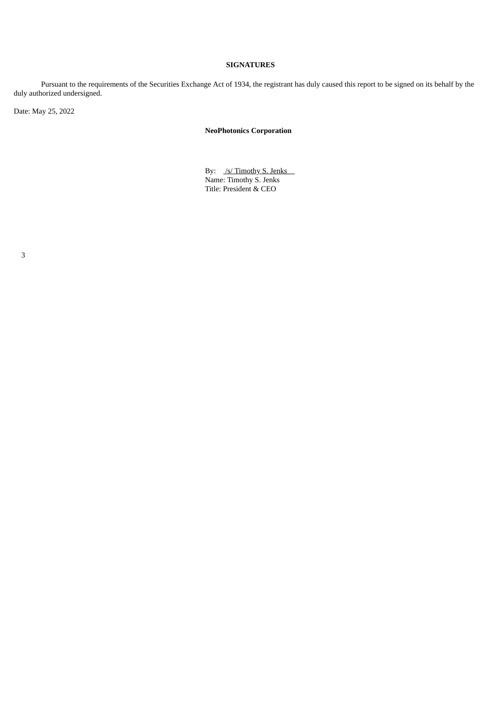# **SIGNATURES**

Pursuant to the requirements of the Securities Exchange Act of 1934, the registrant has duly caused this report to be signed on its behalf by the duly authorized undersigned.

Date: May 25, 2022

# **NeoPhotonics Corporation**

By: /s/ Timothy S. Jenks Name: Timothy S. Jenks Title: President & CEO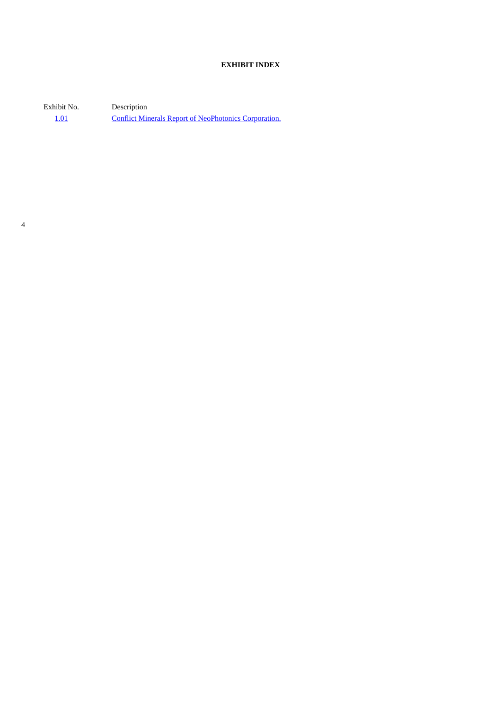# **EXHIBIT INDEX**

Exhibit No. Description [1.01](#page-4-0) Conflict Minerals Report of [NeoPhotonics](#page-4-0) Corporation.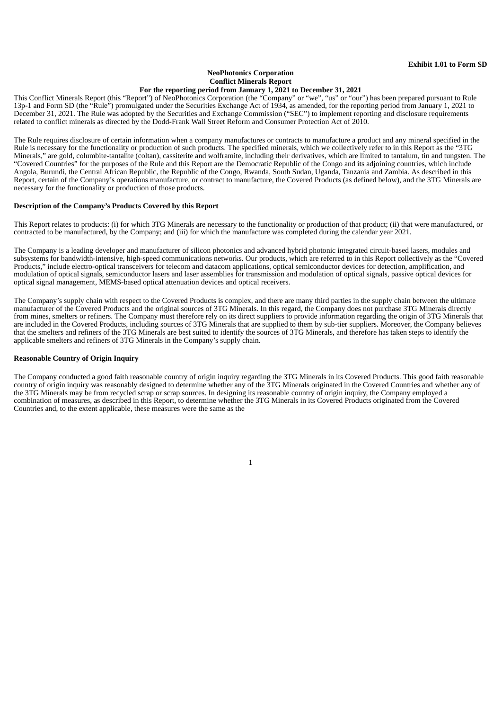## **NeoPhotonics Corporation Conflict Minerals Report For the reporting period from January 1, 2021 to December 31, 2021**

<span id="page-4-0"></span>This Conflict Minerals Report (this "Report") of NeoPhotonics Corporation (the "Company" or "we", "us" or "our") has been prepared pursuant to Rule 13p-1 and Form SD (the "Rule") promulgated under the Securities Exchange Act of 1934, as amended, for the reporting period from January 1, 2021 to December 31, 2021. The Rule was adopted by the Securities and Exchange Commission ("SEC") to implement reporting and disclosure requirements related to conflict minerals as directed by the Dodd-Frank Wall Street Reform and Consumer Protection Act of 2010.

The Rule requires disclosure of certain information when a company manufactures or contracts to manufacture a product and any mineral specified in the Rule is necessary for the functionality or production of such products. The specified minerals, which we collectively refer to in this Report as the "3TG Minerals," are gold, columbite-tantalite (coltan), cassiterite and wolframite, including their derivatives, which are limited to tantalum, tin and tungsten. The "Covered Countries" for the purposes of the Rule and this Report are the Democratic Republic of the Congo and its adjoining countries, which include Angola, Burundi, the Central African Republic, the Republic of the Congo, Rwanda, South Sudan, Uganda, Tanzania and Zambia. As described in this Report, certain of the Company's operations manufacture, or contract to manufacture, the Covered Products (as defined below), and the 3TG Minerals are necessary for the functionality or production of those products.

## **Description of the Company's Products Covered by this Report**

This Report relates to products: (i) for which 3TG Minerals are necessary to the functionality or production of that product; (ii) that were manufactured, or contracted to be manufactured, by the Company; and (iii) for which the manufacture was completed during the calendar year 2021.

The Company is a leading developer and manufacturer of silicon photonics and advanced hybrid photonic integrated circuit-based lasers, modules and subsystems for bandwidth-intensive, high-speed communications networks. Our products, which are referred to in this Report collectively as the "Covered Products," include electro-optical transceivers for telecom and datacom applications, optical semiconductor devices for detection, amplification, and modulation of optical signals, semiconductor lasers and laser assemblies for transmission and modulation of optical signals, passive optical devices for optical signal management, MEMS-based optical attenuation devices and optical receivers.

The Company's supply chain with respect to the Covered Products is complex, and there are many third parties in the supply chain between the ultimate manufacturer of the Covered Products and the original sources of 3TG Minerals. In this regard, the Company does not purchase 3TG Minerals directly from mines, smelters or refiners. The Company must therefore rely on its direct suppliers to provide information regarding the origin of 3TG Minerals that are included in the Covered Products, including sources of 3TG Minerals that are supplied to them by sub-tier suppliers. Moreover, the Company believes that the smelters and refiners of the 3TG Minerals are best suited to identify the sources of 3TG Minerals, and therefore has taken steps to identify the applicable smelters and refiners of 3TG Minerals in the Company's supply chain.

## **Reasonable Country of Origin Inquiry**

The Company conducted a good faith reasonable country of origin inquiry regarding the 3TG Minerals in its Covered Products. This good faith reasonable country of origin inquiry was reasonably designed to determine whether any of the 3TG Minerals originated in the Covered Countries and whether any of the 3TG Minerals may be from recycled scrap or scrap sources. In designing its reasonable country of origin inquiry, the Company employed a combination of measures, as described in this Report, to determine whether the 3TG Minerals in its Covered Products originated from the Covered Countries and, to the extent applicable, these measures were the same as the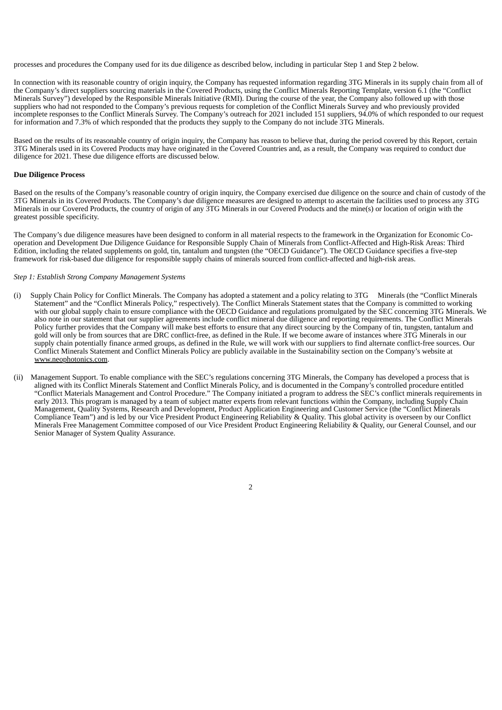processes and procedures the Company used for its due diligence as described below, including in particular Step 1 and Step 2 below.

In connection with its reasonable country of origin inquiry, the Company has requested information regarding 3TG Minerals in its supply chain from all of the Company's direct suppliers sourcing materials in the Covered Products, using the Conflict Minerals Reporting Template, version 6.1 (the "Conflict Minerals Survey") developed by the Responsible Minerals Initiative (RMI). During the course of the year, the Company also followed up with those suppliers who had not responded to the Company's previous requests for completion of the Conflict Minerals Survey and who previously provided incomplete responses to the Conflict Minerals Survey. The Company's outreach for 2021 included 151 suppliers, 94.0% of which responded to our request for information and 7.3% of which responded that the products they supply to the Company do not include 3TG Minerals.

Based on the results of its reasonable country of origin inquiry, the Company has reason to believe that, during the period covered by this Report, certain 3TG Minerals used in its Covered Products may have originated in the Covered Countries and, as a result, the Company was required to conduct due diligence for 2021. These due diligence efforts are discussed below.

### **Due Diligence Process**

Based on the results of the Company's reasonable country of origin inquiry, the Company exercised due diligence on the source and chain of custody of the 3TG Minerals in its Covered Products. The Company's due diligence measures are designed to attempt to ascertain the facilities used to process any 3TG Minerals in our Covered Products, the country of origin of any 3TG Minerals in our Covered Products and the mine(s) or location of origin with the greatest possible specificity.

The Company's due diligence measures have been designed to conform in all material respects to the framework in the Organization for Economic Cooperation and Development Due Diligence Guidance for Responsible Supply Chain of Minerals from Conflict-Affected and High-Risk Areas: Third Edition, including the related supplements on gold, tin, tantalum and tungsten (the "OECD Guidance"). The OECD Guidance specifies a five-step framework for risk-based due diligence for responsible supply chains of minerals sourced from conflict-affected and high-risk areas.

### *Step 1: Establish Strong Company Management Systems*

- (i) Supply Chain Policy for Conflict Minerals. The Company has adopted a statement and a policy relating to 3TG Minerals (the "Conflict Minerals Statement" and the "Conflict Minerals Policy," respectively). The Conflict Minerals Statement states that the Company is committed to working with our global supply chain to ensure compliance with the OECD Guidance and regulations promulgated by the SEC concerning 3TG Minerals. We also note in our statement that our supplier agreements include conflict mineral due diligence and reporting requirements. The Conflict Minerals Policy further provides that the Company will make best efforts to ensure that any direct sourcing by the Company of tin, tungsten, tantalum and gold will only be from sources that are DRC conflict-free, as defined in the Rule. If we become aware of instances where 3TG Minerals in our supply chain potentially finance armed groups, as defined in the Rule, we will work with our suppliers to find alternate conflict-free sources. Our Conflict Minerals Statement and Conflict Minerals Policy are publicly available in the Sustainability section on the Company's website at www.neophotonics.com.
- (ii) Management Support. To enable compliance with the SEC's regulations concerning 3TG Minerals, the Company has developed a process that is aligned with its Conflict Minerals Statement and Conflict Minerals Policy, and is documented in the Company's controlled procedure entitled "Conflict Materials Management and Control Procedure." The Company initiated a program to address the SEC's conflict minerals requirements in early 2013. This program is managed by a team of subject matter experts from relevant functions within the Company, including Supply Chain Management, Quality Systems, Research and Development, Product Application Engineering and Customer Service (the "Conflict Minerals Compliance Team") and is led by our Vice President Product Engineering Reliability & Quality. This global activity is overseen by our Conflict Minerals Free Management Committee composed of our Vice President Product Engineering Reliability & Quality, our General Counsel, and our Senior Manager of System Quality Assurance.

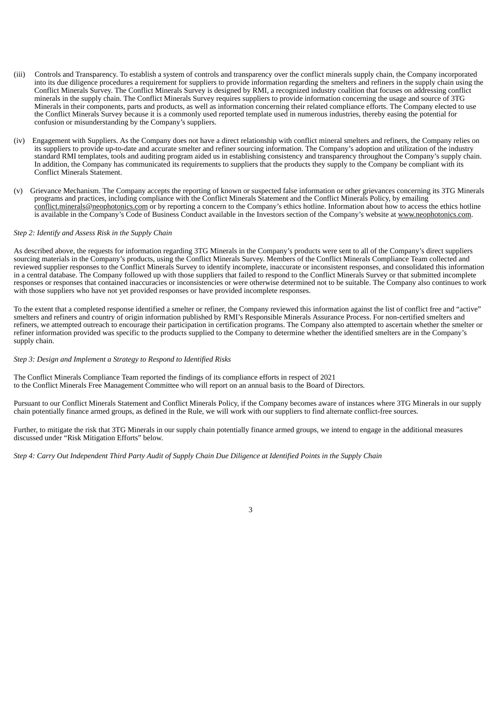- (iii) Controls and Transparency. To establish a system of controls and transparency over the conflict minerals supply chain, the Company incorporated into its due diligence procedures a requirement for suppliers to provide information regarding the smelters and refiners in the supply chain using the Conflict Minerals Survey. The Conflict Minerals Survey is designed by RMI, a recognized industry coalition that focuses on addressing conflict minerals in the supply chain. The Conflict Minerals Survey requires suppliers to provide information concerning the usage and source of 3TG Minerals in their components, parts and products, as well as information concerning their related compliance efforts. The Company elected to use the Conflict Minerals Survey because it is a commonly used reported template used in numerous industries, thereby easing the potential for confusion or misunderstanding by the Company's suppliers.
- (iv) Engagement with Suppliers. As the Company does not have a direct relationship with conflict mineral smelters and refiners, the Company relies on its suppliers to provide up-to-date and accurate smelter and refiner sourcing information. The Company's adoption and utilization of the industry standard RMI templates, tools and auditing program aided us in establishing consistency and transparency throughout the Company's supply chain. In addition, the Company has communicated its requirements to suppliers that the products they supply to the Company be compliant with its Conflict Minerals Statement.
- (v) Grievance Mechanism. The Company accepts the reporting of known or suspected false information or other grievances concerning its 3TG Minerals programs and practices, including compliance with the Conflict Minerals Statement and the Conflict Minerals Policy, by emailing conflict.minerals@neophotonics.com or by reporting a concern to the Company's ethics hotline. Information about how to access the ethics hotline is available in the Company's Code of Business Conduct available in the Investors section of the Company's website at www.neophotonics.com.

## *Step 2: Identify and Assess Risk in the Supply Chain*

As described above, the requests for information regarding 3TG Minerals in the Company's products were sent to all of the Company's direct suppliers sourcing materials in the Company's products, using the Conflict Minerals Survey. Members of the Conflict Minerals Compliance Team collected and reviewed supplier responses to the Conflict Minerals Survey to identify incomplete, inaccurate or inconsistent responses, and consolidated this information in a central database. The Company followed up with those suppliers that failed to respond to the Conflict Minerals Survey or that submitted incomplete responses or responses that contained inaccuracies or inconsistencies or were otherwise determined not to be suitable. The Company also continues to work with those suppliers who have not yet provided responses or have provided incomplete responses.

To the extent that a completed response identified a smelter or refiner, the Company reviewed this information against the list of conflict free and "active" smelters and refiners and country of origin information published by RMI's Responsible Minerals Assurance Process. For non-certified smelters and refiners, we attempted outreach to encourage their participation in certification programs. The Company also attempted to ascertain whether the smelter or refiner information provided was specific to the products supplied to the Company to determine whether the identified smelters are in the Company's supply chain.

#### *Step 3: Design and Implement a Strategy to Respond to Identified Risks*

The Conflict Minerals Compliance Team reported the findings of its compliance efforts in respect of 2021 to the Conflict Minerals Free Management Committee who will report on an annual basis to the Board of Directors.

Pursuant to our Conflict Minerals Statement and Conflict Minerals Policy, if the Company becomes aware of instances where 3TG Minerals in our supply chain potentially finance armed groups, as defined in the Rule, we will work with our suppliers to find alternate conflict-free sources.

Further, to mitigate the risk that 3TG Minerals in our supply chain potentially finance armed groups, we intend to engage in the additional measures discussed under "Risk Mitigation Efforts" below.

Step 4: Carry Out Independent Third Party Audit of Supply Chain Due Diligence at Identified Points in the Supply Chain

3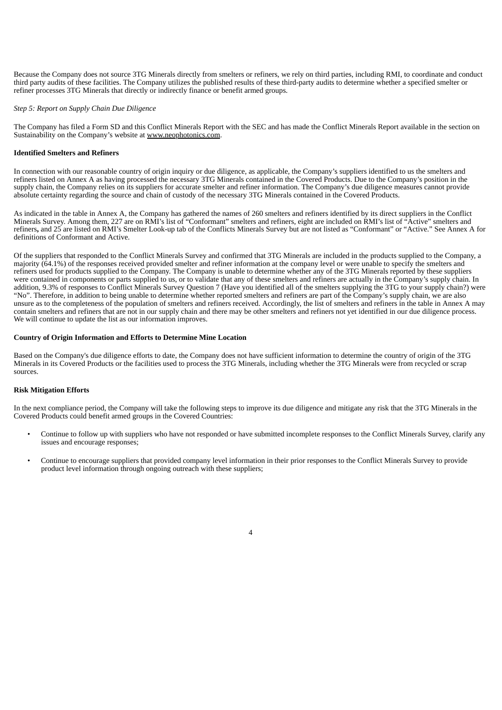Because the Company does not source 3TG Minerals directly from smelters or refiners, we rely on third parties, including RMI, to coordinate and conduct third party audits of these facilities. The Company utilizes the published results of these third-party audits to determine whether a specified smelter or refiner processes 3TG Minerals that directly or indirectly finance or benefit armed groups.

## *Step 5: Report on Supply Chain Due Diligence*

The Company has filed a Form SD and this Conflict Minerals Report with the SEC and has made the Conflict Minerals Report available in the section on Sustainability on the Company's website at www.neophotonics.com.

#### **Identified Smelters and Refiners**

In connection with our reasonable country of origin inquiry or due diligence, as applicable, the Company's suppliers identified to us the smelters and refiners listed on Annex A as having processed the necessary 3TG Minerals contained in the Covered Products. Due to the Company's position in the supply chain, the Company relies on its suppliers for accurate smelter and refiner information. The Company's due diligence measures cannot provide absolute certainty regarding the source and chain of custody of the necessary 3TG Minerals contained in the Covered Products.

As indicated in the table in Annex A, the Company has gathered the names of 260 smelters and refiners identified by its direct suppliers in the Conflict Minerals Survey. Among them, 227 are on RMI's list of "Conformant" smelters and refiners, eight are included on RMI's list of "Active" smelters and refiners**,** and 25 are listed on RMI's Smelter Look-up tab of the Conflicts Minerals Survey but are not listed as "Conformant" or "Active." See Annex A for definitions of Conformant and Active.

Of the suppliers that responded to the Conflict Minerals Survey and confirmed that 3TG Minerals are included in the products supplied to the Company, a majority (64.1%) of the responses received provided smelter and refiner information at the company level or were unable to specify the smelters and refiners used for products supplied to the Company. The Company is unable to determine whether any of the 3TG Minerals reported by these suppliers were contained in components or parts supplied to us, or to validate that any of these smelters and refiners are actually in the Company's supply chain. In addition, 9.3% of responses to Conflict Minerals Survey Question 7 (Have you identified all of the smelters supplying the 3TG to your supply chain?) were "No". Therefore, in addition to being unable to determine whether reported smelters and refiners are part of the Company's supply chain, we are also unsure as to the completeness of the population of smelters and refiners received. Accordingly, the list of smelters and refiners in the table in Annex A may contain smelters and refiners that are not in our supply chain and there may be other smelters and refiners not yet identified in our due diligence process. We will continue to update the list as our information improves.

#### **Country of Origin Information and Efforts to Determine Mine Location**

Based on the Company's due diligence efforts to date, the Company does not have sufficient information to determine the country of origin of the 3TG Minerals in its Covered Products or the facilities used to process the 3TG Minerals, including whether the 3TG Minerals were from recycled or scrap sources.

## **Risk Mitigation Efforts**

In the next compliance period, the Company will take the following steps to improve its due diligence and mitigate any risk that the 3TG Minerals in the Covered Products could benefit armed groups in the Covered Countries:

- Continue to follow up with suppliers who have not responded or have submitted incomplete responses to the Conflict Minerals Survey, clarify any issues and encourage responses;
- Continue to encourage suppliers that provided company level information in their prior responses to the Conflict Minerals Survey to provide product level information through ongoing outreach with these suppliers;

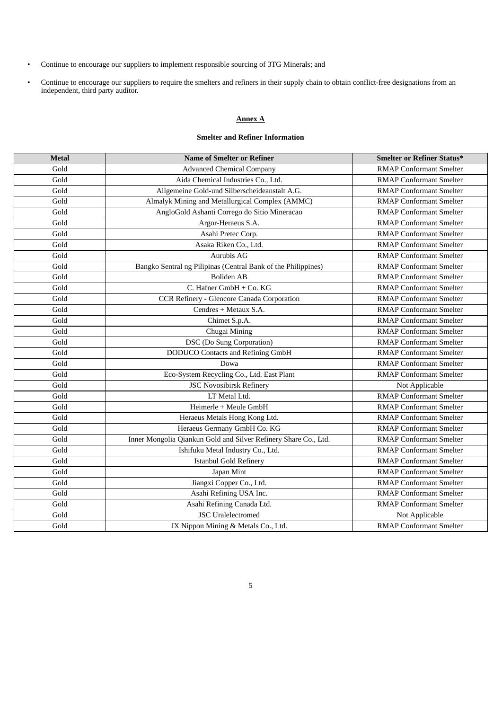- Continue to encourage our suppliers to implement responsible sourcing of 3TG Minerals; and
- Continue to encourage our suppliers to require the smelters and refiners in their supply chain to obtain conflict-free designations from an independent, third party auditor.

# **Annex A**

# **Smelter and Refiner Information**

| <b>Metal</b> | <b>Name of Smelter or Refiner</b>                               | Smelter or Refiner Status*     |
|--------------|-----------------------------------------------------------------|--------------------------------|
| Gold         | <b>Advanced Chemical Company</b>                                | <b>RMAP Conformant Smelter</b> |
| Gold         | Aida Chemical Industries Co., Ltd.                              | <b>RMAP Conformant Smelter</b> |
| Gold         | Allgemeine Gold-und Silberscheideanstalt A.G.                   | <b>RMAP Conformant Smelter</b> |
| Gold         | Almalyk Mining and Metallurgical Complex (AMMC)                 | <b>RMAP Conformant Smelter</b> |
| Gold         | AngloGold Ashanti Corrego do Sitio Mineracao                    | <b>RMAP Conformant Smelter</b> |
| Gold         | Argor-Heraeus S.A.                                              | <b>RMAP Conformant Smelter</b> |
| Gold         | Asahi Pretec Corp.                                              | <b>RMAP Conformant Smelter</b> |
| Gold         | Asaka Riken Co., Ltd.                                           | <b>RMAP Conformant Smelter</b> |
| Gold         | Aurubis AG                                                      | <b>RMAP Conformant Smelter</b> |
| Gold         | Bangko Sentral ng Pilipinas (Central Bank of the Philippines)   | <b>RMAP Conformant Smelter</b> |
| Gold         | Boliden AB                                                      | <b>RMAP Conformant Smelter</b> |
| Gold         | C. Hafner GmbH + Co. KG                                         | <b>RMAP Conformant Smelter</b> |
| Gold         | CCR Refinery - Glencore Canada Corporation                      | <b>RMAP Conformant Smelter</b> |
| Gold         | Cendres + Metaux S.A.                                           | <b>RMAP Conformant Smelter</b> |
| Gold         | Chimet S.p.A.                                                   | <b>RMAP Conformant Smelter</b> |
| Gold         | Chugai Mining                                                   | <b>RMAP Conformant Smelter</b> |
| Gold         | <b>DSC</b> (Do Sung Corporation)                                | <b>RMAP Conformant Smelter</b> |
| Gold         | <b>DODUCO</b> Contacts and Refining GmbH                        | <b>RMAP Conformant Smelter</b> |
| Gold         | Dowa                                                            | <b>RMAP Conformant Smelter</b> |
| Gold         | Eco-System Recycling Co., Ltd. East Plant                       | <b>RMAP Conformant Smelter</b> |
| Gold         | <b>JSC Novosibirsk Refinery</b>                                 | Not Applicable                 |
| Gold         | LT Metal Ltd.                                                   | <b>RMAP Conformant Smelter</b> |
| Gold         | Heimerle + Meule GmbH                                           | <b>RMAP Conformant Smelter</b> |
| Gold         | Heraeus Metals Hong Kong Ltd.                                   | <b>RMAP Conformant Smelter</b> |
| Gold         | Heraeus Germany GmbH Co. KG                                     | <b>RMAP Conformant Smelter</b> |
| Gold         | Inner Mongolia Qiankun Gold and Silver Refinery Share Co., Ltd. | <b>RMAP Conformant Smelter</b> |
| Gold         | Ishifuku Metal Industry Co., Ltd.                               | <b>RMAP Conformant Smelter</b> |
| Gold         | <b>Istanbul Gold Refinery</b>                                   | <b>RMAP Conformant Smelter</b> |
| Gold         | Japan Mint                                                      | <b>RMAP Conformant Smelter</b> |
| Gold         | Jiangxi Copper Co., Ltd.                                        | <b>RMAP Conformant Smelter</b> |
| Gold         | Asahi Refining USA Inc.                                         | <b>RMAP Conformant Smelter</b> |
| Gold         | Asahi Refining Canada Ltd.                                      | <b>RMAP Conformant Smelter</b> |
| Gold         | <b>JSC</b> Uralelectromed                                       | Not Applicable                 |
| Gold         | JX Nippon Mining & Metals Co., Ltd.                             | <b>RMAP Conformant Smelter</b> |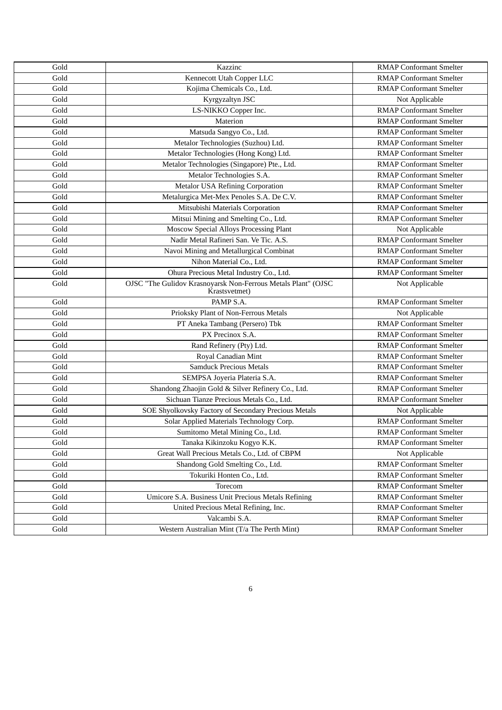| Gold                  | Kazzinc                                                                        | <b>RMAP Conformant Smelter</b> |
|-----------------------|--------------------------------------------------------------------------------|--------------------------------|
| Gold                  | Kennecott Utah Copper LLC                                                      | <b>RMAP Conformant Smelter</b> |
| Gold                  | Kojima Chemicals Co., Ltd.                                                     | <b>RMAP Conformant Smelter</b> |
| Gold                  | Kyrgyzaltyn JSC                                                                | Not Applicable                 |
| Gold                  | LS-NIKKO Copper Inc.                                                           | <b>RMAP Conformant Smelter</b> |
| Gold                  | Materion                                                                       | <b>RMAP Conformant Smelter</b> |
| Gold                  | Matsuda Sangyo Co., Ltd.                                                       | <b>RMAP Conformant Smelter</b> |
| Gold                  | Metalor Technologies (Suzhou) Ltd.                                             | <b>RMAP Conformant Smelter</b> |
| $\operatorname{Gold}$ | Metalor Technologies (Hong Kong) Ltd.                                          | <b>RMAP Conformant Smelter</b> |
| $\operatorname{Gold}$ | Metalor Technologies (Singapore) Pte., Ltd.                                    | <b>RMAP Conformant Smelter</b> |
| Gold                  | Metalor Technologies S.A.                                                      | <b>RMAP Conformant Smelter</b> |
| Gold                  | <b>Metalor USA Refining Corporation</b>                                        | <b>RMAP Conformant Smelter</b> |
| Gold                  | Metalurgica Met-Mex Penoles S.A. De C.V.                                       | <b>RMAP Conformant Smelter</b> |
| Gold                  | Mitsubishi Materials Corporation                                               | <b>RMAP Conformant Smelter</b> |
| Gold                  | Mitsui Mining and Smelting Co., Ltd.                                           | <b>RMAP Conformant Smelter</b> |
| Gold                  | Moscow Special Alloys Processing Plant                                         | Not Applicable                 |
| Gold                  | Nadir Metal Rafineri San. Ve Tic. A.S.                                         | <b>RMAP Conformant Smelter</b> |
| Gold                  | Navoi Mining and Metallurgical Combinat                                        | <b>RMAP Conformant Smelter</b> |
| Gold                  | Nihon Material Co., Ltd.                                                       | <b>RMAP Conformant Smelter</b> |
| Gold                  | Ohura Precious Metal Industry Co., Ltd.                                        | <b>RMAP Conformant Smelter</b> |
| Gold                  | OJSC "The Gulidov Krasnoyarsk Non-Ferrous Metals Plant" (OJSC<br>Krastsvetmet) | Not Applicable                 |
| Gold                  | PAMP S.A.                                                                      | <b>RMAP Conformant Smelter</b> |
| Gold                  | Prioksky Plant of Non-Ferrous Metals                                           | Not Applicable                 |
| $\operatorname{Gold}$ | PT Aneka Tambang (Persero) Tbk                                                 | <b>RMAP Conformant Smelter</b> |
| Gold                  | PX Precinox S.A.                                                               | <b>RMAP Conformant Smelter</b> |
| Gold                  | Rand Refinery (Pty) Ltd.                                                       | <b>RMAP Conformant Smelter</b> |
| Gold                  | Royal Canadian Mint                                                            | <b>RMAP Conformant Smelter</b> |
| Gold                  | <b>Samduck Precious Metals</b>                                                 | <b>RMAP Conformant Smelter</b> |
| Gold                  | SEMPSA Joyeria Plateria S.A.                                                   | <b>RMAP Conformant Smelter</b> |
| Gold                  | Shandong Zhaojin Gold & Silver Refinery Co., Ltd.                              | <b>RMAP Conformant Smelter</b> |
| Gold                  | Sichuan Tianze Precious Metals Co., Ltd.                                       | <b>RMAP Conformant Smelter</b> |
| Gold                  | SOE Shyolkovsky Factory of Secondary Precious Metals                           | Not Applicable                 |
| Gold                  | Solar Applied Materials Technology Corp.                                       | <b>RMAP Conformant Smelter</b> |
| Gold                  | Sumitomo Metal Mining Co., Ltd.                                                | <b>RMAP Conformant Smelter</b> |
| Gold                  | Tanaka Kikinzoku Kogyo K.K.                                                    | <b>RMAP Conformant Smelter</b> |
| Gold                  | Great Wall Precious Metals Co., Ltd. of CBPM                                   | Not Applicable                 |
| Gold                  | Shandong Gold Smelting Co., Ltd.                                               | <b>RMAP Conformant Smelter</b> |
| Gold                  | Tokuriki Honten Co., Ltd.                                                      | <b>RMAP Conformant Smelter</b> |
| Gold                  | Torecom                                                                        | <b>RMAP Conformant Smelter</b> |
| Gold                  | Umicore S.A. Business Unit Precious Metals Refining                            | <b>RMAP Conformant Smelter</b> |
| $\operatorname{Gold}$ | United Precious Metal Refining, Inc.                                           | <b>RMAP Conformant Smelter</b> |
| Gold                  | Valcambi S.A.                                                                  | <b>RMAP Conformant Smelter</b> |
| Gold                  | Western Australian Mint (T/a The Perth Mint)                                   | <b>RMAP Conformant Smelter</b> |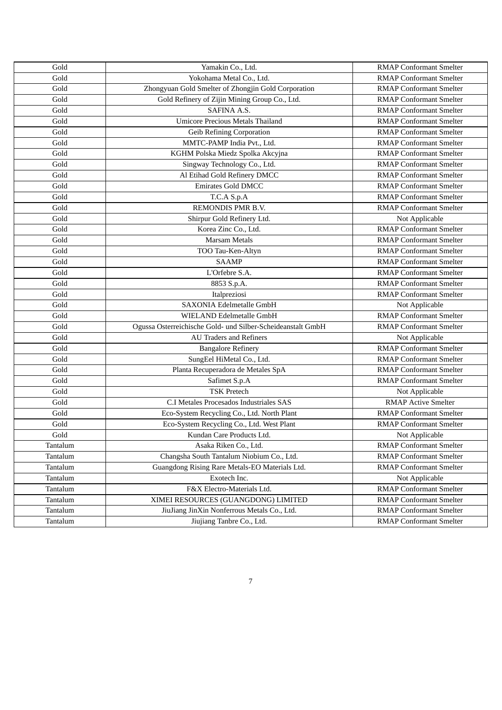| Gold     | Yamakin Co., Ltd.                                           | <b>RMAP Conformant Smelter</b> |
|----------|-------------------------------------------------------------|--------------------------------|
| Gold     | Yokohama Metal Co., Ltd.                                    | <b>RMAP Conformant Smelter</b> |
| Gold     | Zhongyuan Gold Smelter of Zhongjin Gold Corporation         | <b>RMAP Conformant Smelter</b> |
| Gold     | Gold Refinery of Zijin Mining Group Co., Ltd.               | <b>RMAP Conformant Smelter</b> |
| Gold     | SAFINA A.S.                                                 | <b>RMAP Conformant Smelter</b> |
| Gold     | <b>Umicore Precious Metals Thailand</b>                     | <b>RMAP Conformant Smelter</b> |
| Gold     | Geib Refining Corporation                                   | <b>RMAP Conformant Smelter</b> |
| Gold     | MMTC-PAMP India Pvt., Ltd.                                  | <b>RMAP Conformant Smelter</b> |
| Gold     | KGHM Polska Miedz Spolka Akcyjna                            | <b>RMAP Conformant Smelter</b> |
| Gold     | Singway Technology Co., Ltd.                                | <b>RMAP Conformant Smelter</b> |
| Gold     | Al Etihad Gold Refinery DMCC                                | <b>RMAP Conformant Smelter</b> |
| Gold     | <b>Emirates Gold DMCC</b>                                   | <b>RMAP Conformant Smelter</b> |
| Gold     | T.C.A S.p.A                                                 | <b>RMAP Conformant Smelter</b> |
| Gold     | REMONDIS PMR B.V.                                           | <b>RMAP Conformant Smelter</b> |
| Gold     | Shirpur Gold Refinery Ltd.                                  | Not Applicable                 |
| Gold     | Korea Zinc Co., Ltd.                                        | <b>RMAP Conformant Smelter</b> |
| Gold     | <b>Marsam Metals</b>                                        | <b>RMAP Conformant Smelter</b> |
| Gold     | TOO Tau-Ken-Altyn                                           | <b>RMAP Conformant Smelter</b> |
| Gold     | <b>SAAMP</b>                                                | <b>RMAP Conformant Smelter</b> |
| Gold     | L'Orfebre S.A.                                              | <b>RMAP Conformant Smelter</b> |
| Gold     | 8853 S.p.A.                                                 | <b>RMAP Conformant Smelter</b> |
| Gold     | Italpreziosi                                                | <b>RMAP Conformant Smelter</b> |
| Gold     | <b>SAXONIA Edelmetalle GmbH</b>                             | Not Applicable                 |
| Gold     | WIELAND Edelmetalle GmbH                                    | <b>RMAP Conformant Smelter</b> |
| Gold     | Ogussa Osterreichische Gold- und Silber-Scheideanstalt GmbH | <b>RMAP Conformant Smelter</b> |
| Gold     | <b>AU Traders and Refiners</b>                              | Not Applicable                 |
| Gold     | <b>Bangalore Refinery</b>                                   | <b>RMAP Conformant Smelter</b> |
| Gold     | SungEel HiMetal Co., Ltd.                                   | <b>RMAP Conformant Smelter</b> |
| Gold     | Planta Recuperadora de Metales SpA                          | <b>RMAP Conformant Smelter</b> |
| Gold     | Safimet S.p.A                                               | <b>RMAP Conformant Smelter</b> |
| Gold     | <b>TSK Pretech</b>                                          | Not Applicable                 |
| Gold     | C.I Metales Procesados Industriales SAS                     | <b>RMAP Active Smelter</b>     |
| Gold     | Eco-System Recycling Co., Ltd. North Plant                  | <b>RMAP Conformant Smelter</b> |
| Gold     | Eco-System Recycling Co., Ltd. West Plant                   | <b>RMAP Conformant Smelter</b> |
| Gold     | Kundan Care Products Ltd.                                   | Not Applicable                 |
| Tantalum | Asaka Riken Co., Ltd.                                       | <b>RMAP Conformant Smelter</b> |
| Tantalum | Changsha South Tantalum Niobium Co., Ltd.                   | <b>RMAP Conformant Smelter</b> |
| Tantalum | Guangdong Rising Rare Metals-EO Materials Ltd.              | <b>RMAP Conformant Smelter</b> |
| Tantalum | Exotech Inc.                                                | Not Applicable                 |
| Tantalum | F&X Electro-Materials Ltd.                                  | <b>RMAP Conformant Smelter</b> |
| Tantalum | XIMEI RESOURCES (GUANGDONG) LIMITED                         | <b>RMAP Conformant Smelter</b> |
| Tantalum | JiuJiang JinXin Nonferrous Metals Co., Ltd.                 | <b>RMAP Conformant Smelter</b> |
| Tantalum | Jiujiang Tanbre Co., Ltd.                                   | <b>RMAP Conformant Smelter</b> |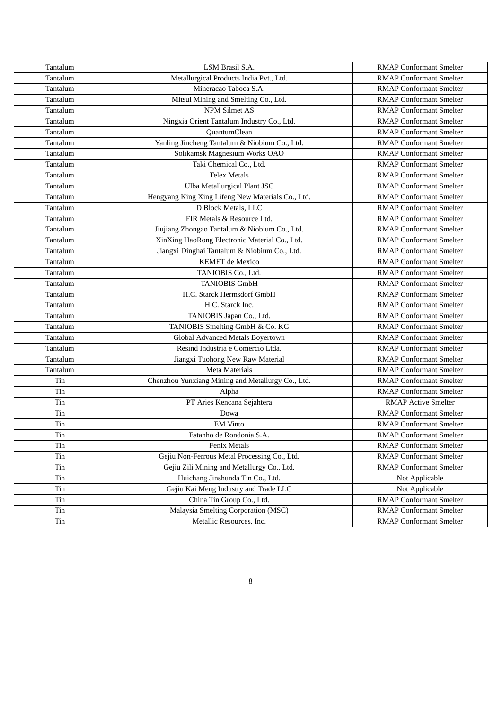| Tantalum | LSM Brasil S.A.                                   | <b>RMAP Conformant Smelter</b> |
|----------|---------------------------------------------------|--------------------------------|
| Tantalum | Metallurgical Products India Pvt., Ltd.           | <b>RMAP Conformant Smelter</b> |
| Tantalum | Mineracao Taboca S.A.                             | <b>RMAP Conformant Smelter</b> |
| Tantalum | Mitsui Mining and Smelting Co., Ltd.              | <b>RMAP Conformant Smelter</b> |
| Tantalum | <b>NPM Silmet AS</b>                              | <b>RMAP Conformant Smelter</b> |
| Tantalum | Ningxia Orient Tantalum Industry Co., Ltd.        | <b>RMAP Conformant Smelter</b> |
| Tantalum | <b>QuantumClean</b>                               | <b>RMAP Conformant Smelter</b> |
| Tantalum | Yanling Jincheng Tantalum & Niobium Co., Ltd.     | <b>RMAP Conformant Smelter</b> |
| Tantalum | Solikamsk Magnesium Works OAO                     | <b>RMAP Conformant Smelter</b> |
| Tantalum | Taki Chemical Co., Ltd.                           | <b>RMAP Conformant Smelter</b> |
| Tantalum | <b>Telex Metals</b>                               | <b>RMAP Conformant Smelter</b> |
| Tantalum | Ulba Metallurgical Plant JSC                      | <b>RMAP Conformant Smelter</b> |
| Tantalum | Hengyang King Xing Lifeng New Materials Co., Ltd. | <b>RMAP Conformant Smelter</b> |
| Tantalum | D Block Metals, LLC                               | <b>RMAP Conformant Smelter</b> |
| Tantalum | FIR Metals & Resource Ltd.                        | <b>RMAP Conformant Smelter</b> |
| Tantalum | Jiujiang Zhongao Tantalum & Niobium Co., Ltd.     | <b>RMAP Conformant Smelter</b> |
| Tantalum | XinXing HaoRong Electronic Material Co., Ltd.     | <b>RMAP Conformant Smelter</b> |
| Tantalum | Jiangxi Dinghai Tantalum & Niobium Co., Ltd.      | <b>RMAP Conformant Smelter</b> |
| Tantalum | <b>KEMET</b> de Mexico                            | <b>RMAP Conformant Smelter</b> |
| Tantalum | TANIOBIS Co., Ltd.                                | <b>RMAP Conformant Smelter</b> |
| Tantalum | <b>TANIOBIS GmbH</b>                              | <b>RMAP Conformant Smelter</b> |
| Tantalum | H.C. Starck Hermsdorf GmbH                        | <b>RMAP Conformant Smelter</b> |
| Tantalum | H.C. Starck Inc.                                  | <b>RMAP Conformant Smelter</b> |
| Tantalum | TANIOBIS Japan Co., Ltd.                          | <b>RMAP Conformant Smelter</b> |
| Tantalum | TANIOBIS Smelting GmbH & Co. KG                   | <b>RMAP Conformant Smelter</b> |
| Tantalum | Global Advanced Metals Boyertown                  | <b>RMAP Conformant Smelter</b> |
| Tantalum | Resind Industria e Comercio Ltda.                 | <b>RMAP Conformant Smelter</b> |
| Tantalum | Jiangxi Tuohong New Raw Material                  | <b>RMAP Conformant Smelter</b> |
| Tantalum | Meta Materials                                    | <b>RMAP Conformant Smelter</b> |
| Tin      | Chenzhou Yunxiang Mining and Metallurgy Co., Ltd. | <b>RMAP Conformant Smelter</b> |
| Tin      | Alpha                                             | <b>RMAP Conformant Smelter</b> |
| Tin      | PT Aries Kencana Sejahtera                        | <b>RMAP Active Smelter</b>     |
| Tin      | Dowa                                              | <b>RMAP Conformant Smelter</b> |
| Tin      | <b>EM Vinto</b>                                   | <b>RMAP Conformant Smelter</b> |
| Tin      | Estanho de Rondonia S.A.                          | <b>RMAP Conformant Smelter</b> |
| Tin      | <b>Fenix Metals</b>                               | <b>RMAP Conformant Smelter</b> |
| Tin      | Gejiu Non-Ferrous Metal Processing Co., Ltd.      | <b>RMAP Conformant Smelter</b> |
| Tin      | Gejiu Zili Mining and Metallurgy Co., Ltd.        | <b>RMAP Conformant Smelter</b> |
| Tin      | Huichang Jinshunda Tin Co., Ltd.                  | Not Applicable                 |
| Tin      | Gejiu Kai Meng Industry and Trade LLC             | Not Applicable                 |
| Tin      | China Tin Group Co., Ltd.                         | <b>RMAP Conformant Smelter</b> |
| Tin      | Malaysia Smelting Corporation (MSC)               | <b>RMAP Conformant Smelter</b> |
| Tin      | Metallic Resources, Inc.                          | <b>RMAP Conformant Smelter</b> |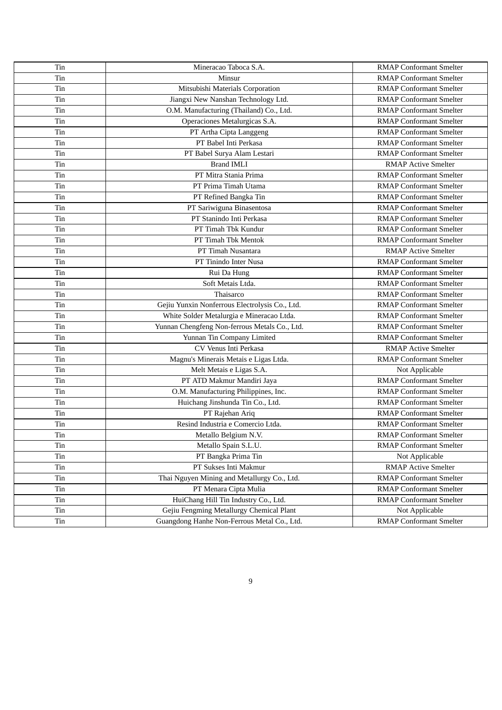| Tin | Mineracao Taboca S.A.                          | <b>RMAP Conformant Smelter</b> |
|-----|------------------------------------------------|--------------------------------|
| Tin | Minsur                                         | <b>RMAP Conformant Smelter</b> |
| Tin | Mitsubishi Materials Corporation               | <b>RMAP Conformant Smelter</b> |
| Tin | Jiangxi New Nanshan Technology Ltd.            | <b>RMAP Conformant Smelter</b> |
| Tin | O.M. Manufacturing (Thailand) Co., Ltd.        | <b>RMAP Conformant Smelter</b> |
| Tin | Operaciones Metalurgicas S.A.                  | <b>RMAP Conformant Smelter</b> |
| Tin | PT Artha Cipta Langgeng                        | <b>RMAP Conformant Smelter</b> |
| Tin | PT Babel Inti Perkasa                          | <b>RMAP Conformant Smelter</b> |
| Tin | PT Babel Surya Alam Lestari                    | <b>RMAP Conformant Smelter</b> |
| Tin | <b>Brand IMLI</b>                              | <b>RMAP Active Smelter</b>     |
| Tin | PT Mitra Stania Prima                          | <b>RMAP Conformant Smelter</b> |
| Tin | PT Prima Timah Utama                           | <b>RMAP Conformant Smelter</b> |
| Tin | PT Refined Bangka Tin                          | <b>RMAP Conformant Smelter</b> |
| Tin | PT Sariwiguna Binasentosa                      | <b>RMAP Conformant Smelter</b> |
| Tin | PT Stanindo Inti Perkasa                       | <b>RMAP Conformant Smelter</b> |
| Tin | PT Timah Tbk Kundur                            | <b>RMAP Conformant Smelter</b> |
| Tin | PT Timah Tbk Mentok                            | <b>RMAP Conformant Smelter</b> |
| Tin | PT Timah Nusantara                             | <b>RMAP Active Smelter</b>     |
| Tin | PT Tinindo Inter Nusa                          | <b>RMAP Conformant Smelter</b> |
| Tin | Rui Da Hung                                    | <b>RMAP Conformant Smelter</b> |
| Tin | Soft Metais Ltda.                              | <b>RMAP Conformant Smelter</b> |
| Tin | Thaisarco                                      | <b>RMAP Conformant Smelter</b> |
| Tin | Gejiu Yunxin Nonferrous Electrolysis Co., Ltd. | <b>RMAP Conformant Smelter</b> |
| Tin | White Solder Metalurgia e Mineracao Ltda.      | <b>RMAP Conformant Smelter</b> |
| Tin | Yunnan Chengfeng Non-ferrous Metals Co., Ltd.  | <b>RMAP Conformant Smelter</b> |
| Tin | Yunnan Tin Company Limited                     | <b>RMAP Conformant Smelter</b> |
| Tin | CV Venus Inti Perkasa                          | <b>RMAP Active Smelter</b>     |
| Tin | Magnu's Minerais Metais e Ligas Ltda.          | <b>RMAP Conformant Smelter</b> |
| Tin | Melt Metais e Ligas S.A.                       | Not Applicable                 |
| Tin | PT ATD Makmur Mandiri Jaya                     | <b>RMAP Conformant Smelter</b> |
| Tin | O.M. Manufacturing Philippines, Inc.           | <b>RMAP Conformant Smelter</b> |
| Tin | Huichang Jinshunda Tin Co., Ltd.               | <b>RMAP Conformant Smelter</b> |
| Tin | PT Rajehan Ariq                                | <b>RMAP Conformant Smelter</b> |
| Tin | Resind Industria e Comercio Ltda.              | <b>RMAP Conformant Smelter</b> |
| Tin | Metallo Belgium N.V.                           | <b>RMAP Conformant Smelter</b> |
| Tin | Metallo Spain S.L.U.                           | <b>RMAP Conformant Smelter</b> |
| Tin | PT Bangka Prima Tin                            | Not Applicable                 |
| Tin | PT Sukses Inti Makmur                          | <b>RMAP Active Smelter</b>     |
| Tin | Thai Nguyen Mining and Metallurgy Co., Ltd.    | <b>RMAP Conformant Smelter</b> |
| Tin | PT Menara Cipta Mulia                          | <b>RMAP Conformant Smelter</b> |
| Tin | HuiChang Hill Tin Industry Co., Ltd.           | <b>RMAP Conformant Smelter</b> |
| Tin | Gejiu Fengming Metallurgy Chemical Plant       | Not Applicable                 |
|     | Guangdong Hanhe Non-Ferrous Metal Co., Ltd.    | <b>RMAP Conformant Smelter</b> |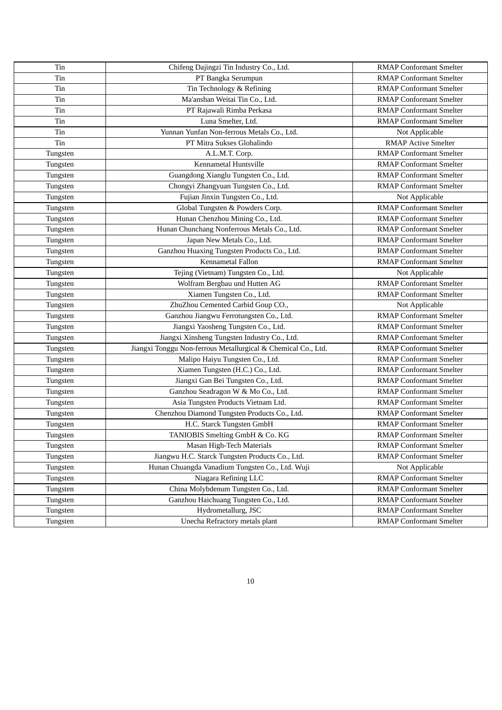| Tin      | Chifeng Dajingzi Tin Industry Co., Ltd.                       | <b>RMAP Conformant Smelter</b> |
|----------|---------------------------------------------------------------|--------------------------------|
| Tin      | PT Bangka Serumpun                                            | <b>RMAP Conformant Smelter</b> |
| Tin      | Tin Technology & Refining                                     | <b>RMAP Conformant Smelter</b> |
| Tin      | Ma'anshan Weitai Tin Co., Ltd.                                | <b>RMAP Conformant Smelter</b> |
| Tin      | PT Rajawali Rimba Perkasa                                     | <b>RMAP Conformant Smelter</b> |
| Tin      | Luna Smelter, Ltd.                                            | <b>RMAP Conformant Smelter</b> |
| Tin      | Yunnan Yunfan Non-ferrous Metals Co., Ltd.                    | Not Applicable                 |
| Tin      | PT Mitra Sukses Globalindo                                    | <b>RMAP Active Smelter</b>     |
| Tungsten | A.L.M.T. Corp.                                                | <b>RMAP Conformant Smelter</b> |
| Tungsten | Kennametal Huntsville                                         | <b>RMAP Conformant Smelter</b> |
| Tungsten | Guangdong Xianglu Tungsten Co., Ltd.                          | <b>RMAP Conformant Smelter</b> |
| Tungsten | Chongyi Zhangyuan Tungsten Co., Ltd.                          | <b>RMAP Conformant Smelter</b> |
| Tungsten | Fujian Jinxin Tungsten Co., Ltd.                              | Not Applicable                 |
| Tungsten | Global Tungsten & Powders Corp.                               | <b>RMAP Conformant Smelter</b> |
| Tungsten | Hunan Chenzhou Mining Co., Ltd.                               | <b>RMAP Conformant Smelter</b> |
| Tungsten | Hunan Chunchang Nonferrous Metals Co., Ltd.                   | <b>RMAP Conformant Smelter</b> |
| Tungsten | Japan New Metals Co., Ltd.                                    | <b>RMAP Conformant Smelter</b> |
| Tungsten | Ganzhou Huaxing Tungsten Products Co., Ltd.                   | <b>RMAP Conformant Smelter</b> |
| Tungsten | Kennametal Fallon                                             | <b>RMAP Conformant Smelter</b> |
| Tungsten | Tejing (Vietnam) Tungsten Co., Ltd.                           | Not Applicable                 |
| Tungsten | Wolfram Bergbau und Hutten AG                                 | <b>RMAP Conformant Smelter</b> |
| Tungsten | Xiamen Tungsten Co., Ltd.                                     | <b>RMAP Conformant Smelter</b> |
| Tungsten | ZhuZhou Cemented Carbid Goup CO.,                             | Not Applicable                 |
| Tungsten | Ganzhou Jiangwu Ferrotungsten Co., Ltd.                       | <b>RMAP Conformant Smelter</b> |
| Tungsten | Jiangxi Yaosheng Tungsten Co., Ltd.                           | <b>RMAP Conformant Smelter</b> |
| Tungsten | Jiangxi Xinsheng Tungsten Industry Co., Ltd.                  | <b>RMAP Conformant Smelter</b> |
| Tungsten | Jiangxi Tonggu Non-ferrous Metallurgical & Chemical Co., Ltd. | <b>RMAP Conformant Smelter</b> |
| Tungsten | Malipo Haiyu Tungsten Co., Ltd.                               | <b>RMAP Conformant Smelter</b> |
| Tungsten | Xiamen Tungsten (H.C.) Co., Ltd.                              | <b>RMAP Conformant Smelter</b> |
| Tungsten | Jiangxi Gan Bei Tungsten Co., Ltd.                            | <b>RMAP Conformant Smelter</b> |
| Tungsten | Ganzhou Seadragon W & Mo Co., Ltd.                            | <b>RMAP Conformant Smelter</b> |
| Tungsten | Asia Tungsten Products Vietnam Ltd.                           | <b>RMAP Conformant Smelter</b> |
| Tungsten | Chenzhou Diamond Tungsten Products Co., Ltd.                  | <b>RMAP Conformant Smelter</b> |
| Tungsten | H.C. Starck Tungsten GmbH                                     | <b>RMAP Conformant Smelter</b> |
| Tungsten | TANIOBIS Smelting GmbH & Co. KG                               | <b>RMAP Conformant Smelter</b> |
| Tungsten | Masan High-Tech Materials                                     | <b>RMAP Conformant Smelter</b> |
| Tungsten | Jiangwu H.C. Starck Tungsten Products Co., Ltd.               | <b>RMAP Conformant Smelter</b> |
| Tungsten | Hunan Chuangda Vanadium Tungsten Co., Ltd. Wuji               | Not Applicable                 |
| Tungsten | Niagara Refining LLC                                          | <b>RMAP Conformant Smelter</b> |
| Tungsten | China Molybdenum Tungsten Co., Ltd.                           | <b>RMAP Conformant Smelter</b> |
| Tungsten | Ganzhou Haichuang Tungsten Co., Ltd.                          | <b>RMAP Conformant Smelter</b> |
| Tungsten | Hydrometallurg, JSC                                           | <b>RMAP Conformant Smelter</b> |
| Tungsten | Unecha Refractory metals plant                                | <b>RMAP Conformant Smelter</b> |